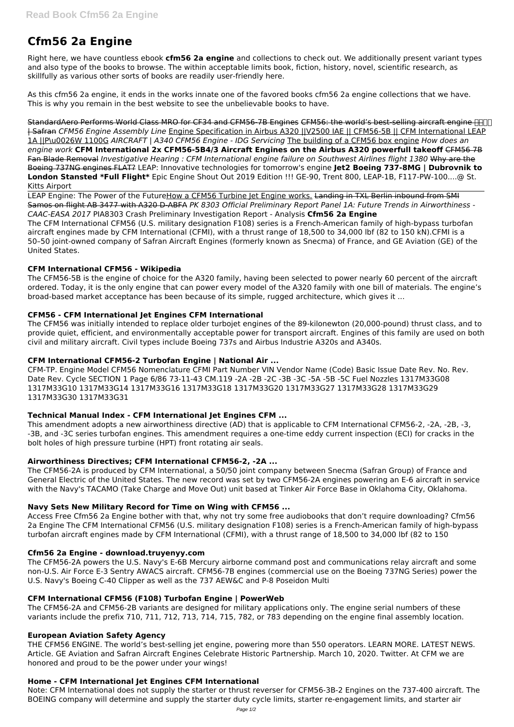# **Cfm56 2a Engine**

Right here, we have countless ebook **cfm56 2a engine** and collections to check out. We additionally present variant types and also type of the books to browse. The within acceptable limits book, fiction, history, novel, scientific research, as skillfully as various other sorts of books are readily user-friendly here.

As this cfm56 2a engine, it ends in the works innate one of the favored books cfm56 2a engine collections that we have. This is why you remain in the best website to see the unbelievable books to have.

StandardAero Performs World Class MRO for CF34 and CFM56-7B Engines CFM56: the world's best-selling aircraft engine **HH** | Safran *CFM56 Engine Assembly Line* Engine Specification in Airbus A320 ||V2500 IAE || CFM56-5B || CFM International LEAP 1A ||P\u0026W 1100G *AIRCRAFT | A340 CFM56 Engine - IDG Servicing* The building of a CFM56 box engine *How does an engine work* **CFM International 2x CFM56-5B4/3 Aircraft Engines on the Airbus A320 powerfull takeoff** CFM56 7B Fan Blade Removal *Investigative Hearing : CFM International engine failure on Southwest Airlines flight 1380* Why are the Boeing 737NG engines FLAT? LEAP: Innovative technologies for tomorrow's engine **Jet2 Boeing 737-8MG | Dubrovnik to London Stansted \*Full Flight\*** Epic Engine Shout Out 2019 Edition !!! GE-90, Trent 800, LEAP-1B, F117-PW-100....@ St. Kitts Airport

LEAP Engine: The Power of the FutureHow a CFM56 Turbine let Engine works. Landing in TXL Berlin inbound from SMI Samos on flight AB 3477 with A320 D-ABFA *PK 8303 Official Preliminary Report Panel 1A: Future Trends in Airworthiness - CAAC-EASA 2017* PIA8303 Crash Preliminary Investigation Report - Analysis **Cfm56 2a Engine** The CFM International CFM56 (U.S. military designation F108) series is a French-American family of high-bypass turbofan aircraft engines made by CFM International (CFMI), with a thrust range of 18,500 to 34,000 lbf (82 to 150 kN).CFMI is a 50–50 joint-owned company of Safran Aircraft Engines (formerly known as Snecma) of France, and GE Aviation (GE) of the United States.

# **CFM International CFM56 - Wikipedia**

The CFM56-5B is the engine of choice for the A320 family, having been selected to power nearly 60 percent of the aircraft ordered. Today, it is the only engine that can power every model of the A320 family with one bill of materials. The engine's broad-based market acceptance has been because of its simple, rugged architecture, which gives it ...

# **CFM56 - CFM International Jet Engines CFM International**

The CFM56 was initially intended to replace older turbojet engines of the 89-kilonewton (20,000-pound) thrust class, and to provide quiet, efficient, and environmentally acceptable power for transport aircraft. Engines of this family are used on both civil and military aircraft. Civil types include Boeing 737s and Airbus Industrie A320s and A340s.

# **CFM International CFM56-2 Turbofan Engine | National Air ...**

CFM-TP. Engine Model CFM56 Nomenclature CFMI Part Number VIN Vendor Name (Code) Basic Issue Date Rev. No. Rev. Date Rev. Cycle SECTION 1 Page 6/86 73-11-43 CM.119 -2A -2B -2C -3B -3C -5A -5B -5C Fuel Nozzles 1317M33G08 1317M33G10 1317M33G14 1317M33G16 1317M33G18 1317M33G20 1317M33G27 1317M33G28 1317M33G29 1317M33G30 1317M33G31

# **Technical Manual Index - CFM International Jet Engines CFM ...**

This amendment adopts a new airworthiness directive (AD) that is applicable to CFM International CFM56-2, -2A, -2B, -3, -3B, and -3C series turbofan engines. This amendment requires a one-time eddy current inspection (ECI) for cracks in the bolt holes of high pressure turbine (HPT) front rotating air seals.

# **Airworthiness Directives; CFM International CFM56-2, -2A ...**

The CFM56-2A is produced by CFM International, a 50/50 joint company between Snecma (Safran Group) of France and General Electric of the United States. The new record was set by two CFM56-2A engines powering an E-6 aircraft in service with the Navy's TACAMO (Take Charge and Move Out) unit based at Tinker Air Force Base in Oklahoma City, Oklahoma.

# **Navy Sets New Military Record for Time on Wing with CFM56 ...**

Access Free Cfm56 2a Engine bother with that, why not try some free audiobooks that don't require downloading? Cfm56 2a Engine The CFM International CFM56 (U.S. military designation F108) series is a French-American family of high-bypass turbofan aircraft engines made by CFM International (CFMI), with a thrust range of 18,500 to 34,000 lbf (82 to 150

#### **Cfm56 2a Engine - download.truyenyy.com**

The CFM56-2A powers the U.S. Navy's E-6B Mercury airborne command post and communications relay aircraft and some non-U.S. Air Force E-3 Sentry AWACS aircraft. CFM56-7B engines (commercial use on the Boeing 737NG Series) power the U.S. Navy's Boeing C-40 Clipper as well as the 737 AEW&C and P-8 Poseidon Multi

#### **CFM International CFM56 (F108) Turbofan Engine | PowerWeb**

The CFM56-2A and CFM56-2B variants are designed for military applications only. The engine serial numbers of these variants include the prefix 710, 711, 712, 713, 714, 715, 782, or 783 depending on the engine final assembly location.

#### **European Aviation Safety Agency**

THE CFM56 ENGINE. The world's best-selling jet engine, powering more than 550 operators. LEARN MORE. LATEST NEWS. Article. GE Aviation and Safran Aircraft Engines Celebrate Historic Partnership. March 10, 2020. Twitter. At CFM we are honored and proud to be the power under your wings!

#### **Home - CFM International Jet Engines CFM International**

Note: CFM International does not supply the starter or thrust reverser for CFM56-3B-2 Engines on the 737-400 aircraft. The BOEING company will determine and supply the starter duty cycle limits, starter re-engagement limits, and starter air